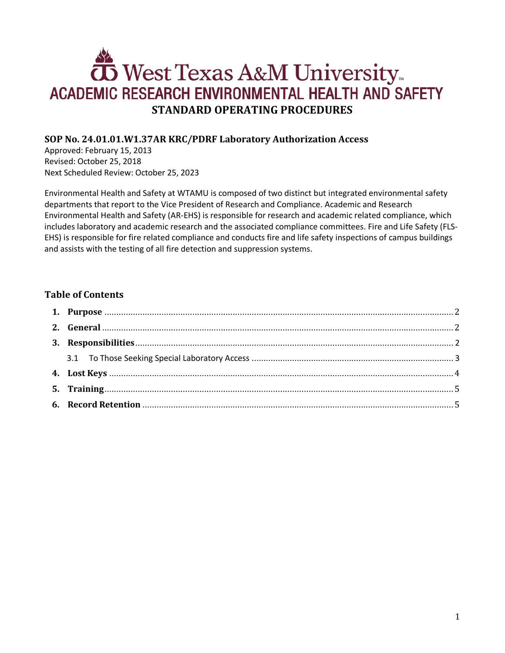# West Texas A&M University ACADEMIC RESEARCH ENVIRONMENTAL HEALTH AND SAFETY **STANDARD OPERATING PROCEDURES**

# **SOP No. 24.01.01.W1.37AR KRC/PDRF Laboratory Authorization Access**

Approved: February 15, 2013 Revised: October 25, 2018 Next Scheduled Review: October 25, 2023

Environmental Health and Safety at WTAMU is composed of two distinct but integrated environmental safety departments that report to the Vice President of Research and Compliance. Academic and Research Environmental Health and Safety (AR-EHS) is responsible for research and academic related compliance, which includes laboratory and academic research and the associated compliance committees. Fire and Life Safety (FLS-EHS) is responsible for fire related compliance and conducts fire and life safety inspections of campus buildings and assists with the testing of all fire detection and suppression systems.

# **Table of Contents**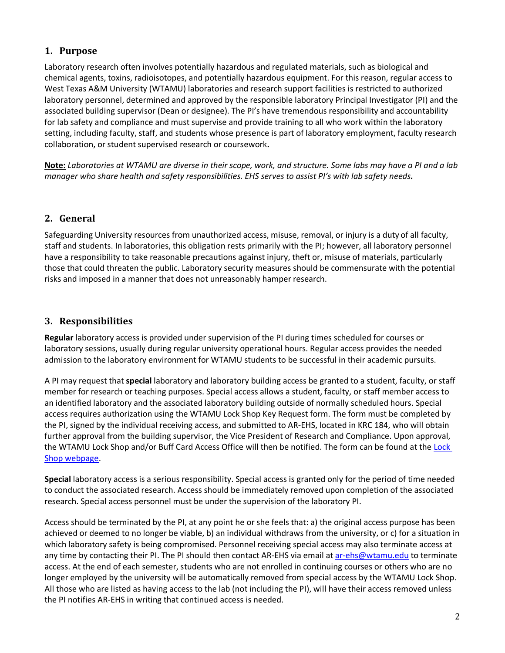## <span id="page-1-0"></span>**1. Purpose**

Laboratory research often involves potentially hazardous and regulated materials, such as biological and chemical agents, toxins, radioisotopes, and potentially hazardous equipment. For this reason, regular access to West Texas A&M University (WTAMU) laboratories and research support facilities is restricted to authorized laboratory personnel, determined and approved by the responsible laboratory Principal Investigator (PI) and the associated building supervisor (Dean or designee). The PI's have tremendous responsibility and accountability for lab safety and compliance and must supervise and provide training to all who work within the laboratory setting, including faculty, staff, and students whose presence is part of laboratory employment, faculty research collaboration, or student supervised research or coursework**.**

**Note:** *Laboratories at WTAMU are diverse in their scope, work, and structure. Some labs may have a PI and a lab manager who share health and safety responsibilities. EHS serves to assist PI's with lab safety needs.*

## <span id="page-1-1"></span>**2. General**

Safeguarding University resources from unauthorized access, misuse, removal, or injury is a duty of all faculty, staff and students. In laboratories, this obligation rests primarily with the PI; however, all laboratory personnel have a responsibility to take reasonable precautions against injury, theft or, misuse of materials, particularly those that could threaten the public. Laboratory security measures should be commensurate with the potential risks and imposed in a manner that does not unreasonably hamper research.

## <span id="page-1-2"></span>**3. Responsibilities**

**Regular** laboratory access is provided under supervision of the PI during times scheduled for courses or laboratory sessions, usually during regular university operational hours. Regular access provides the needed admission to the laboratory environment for WTAMU students to be successful in their academic pursuits.

A PI may request that **special** laboratory and laboratory building access be granted to a student, faculty, or staff member for research or teaching purposes. Special access allows a student, faculty, or staff member access to an identified laboratory and the associated laboratory building outside of normally scheduled hours. Special access requires authorization using the WTAMU Lock Shop Key Request form. The form must be completed by the PI, signed by the individual receiving access, and submitted to AR-EHS, located in KRC 184, who will obtain further approval from the building supervisor, the Vice President of Research and Compliance. Upon approval, the WTAMU [Lock](https://www.wtamu.edu/university_police/upd-lock-shop.aspx) Shop and/or Buff Card Access Office will then be notified. The form can be found at the Lock [Shop webpage.](https://www.wtamu.edu/university_police/upd-lock-shop.aspx)

**Special** laboratory access is a serious responsibility. Special access is granted only for the period of time needed to conduct the associated research. Access should be immediately removed upon completion of the associated research. Special access personnel must be under the supervision of the laboratory PI.

Access should be terminated by the PI, at any point he or she feels that: a) the original access purpose has been achieved or deemed to no longer be viable, b) an individual withdraws from the university, or c) for a situation in which laboratory safety is being compromised. Personnel receiving special access may also terminate access at any time by contacting their PI. The PI should then contact AR-EHS via email a[t ar-ehs@wtamu.edu](mailto:ar-ehs@wtamu.edu) to terminate access. At the end of each semester, students who are not enrolled in continuing courses or others who are no longer employed by the university will be automatically removed from special access by the WTAMU Lock Shop. All those who are listed as having access to the lab (not including the PI), will have their access removed unless the PI notifies AR-EHS in writing that continued access is needed.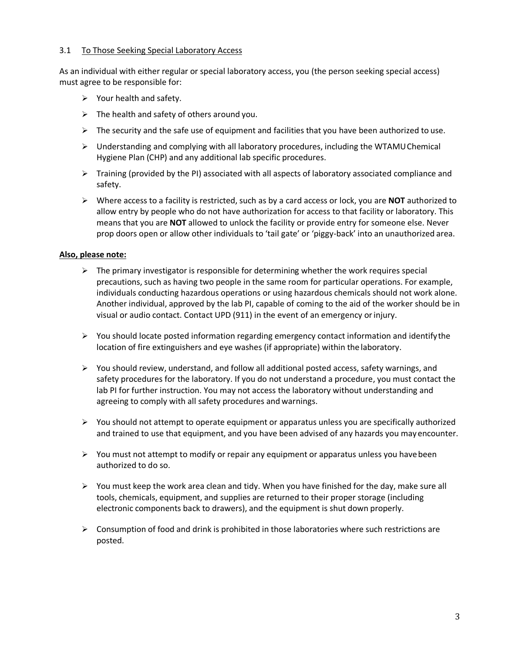#### <span id="page-2-0"></span>3.1 To Those Seeking Special Laboratory Access

As an individual with either regular or special laboratory access, you (the person seeking special access) must agree to be responsible for:

- $\triangleright$  Your health and safety.
- $\triangleright$  The health and safety of others around you.
- $\triangleright$  The security and the safe use of equipment and facilities that you have been authorized to use.
- $\triangleright$  Understanding and complying with all laboratory procedures, including the WTAMU Chemical Hygiene Plan (CHP) and any additional lab specific procedures.
- $\triangleright$  Training (provided by the PI) associated with all aspects of laboratory associated compliance and safety.
- Where access to a facility is restricted, such as by a card access or lock, you are **NOT** authorized to allow entry by people who do not have authorization for access to that facility or laboratory. This means that you are **NOT** allowed to unlock the facility or provide entry for someone else. Never prop doors open or allow other individuals to 'tail gate' or 'piggy-back' into an unauthorized area.

#### **Also, please note:**

- $\triangleright$  The primary investigator is responsible for determining whether the work requires special precautions, such as having two people in the same room for particular operations. For example, individuals conducting hazardous operations or using hazardous chemicals should not work alone. Another individual, approved by the lab PI, capable of coming to the aid of the worker should be in visual or audio contact. Contact UPD (911) in the event of an emergency orinjury.
- $\triangleright$  You should locate posted information regarding emergency contact information and identify the location of fire extinguishers and eye washes (if appropriate) within the laboratory.
- $\triangleright$  You should review, understand, and follow all additional posted access, safety warnings, and safety procedures for the laboratory. If you do not understand a procedure, you must contact the lab PI for further instruction. You may not access the laboratory without understanding and agreeing to comply with all safety procedures and warnings.
- $\triangleright$  You should not attempt to operate equipment or apparatus unless you are specifically authorized and trained to use that equipment, and you have been advised of any hazards you mayencounter.
- $\triangleright$  You must not attempt to modify or repair any equipment or apparatus unless you have been authorized to do so.
- $\triangleright$  You must keep the work area clean and tidy. When you have finished for the day, make sure all tools, chemicals, equipment, and supplies are returned to their proper storage (including electronic components back to drawers), and the equipment is shut down properly.
- $\triangleright$  Consumption of food and drink is prohibited in those laboratories where such restrictions are posted.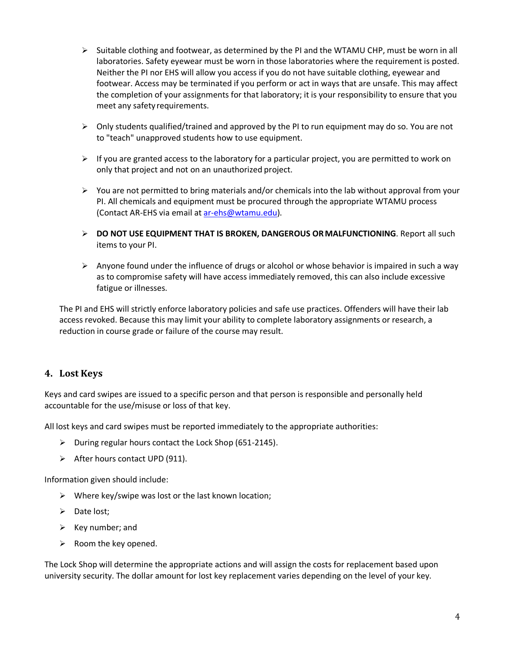- $\triangleright$  Suitable clothing and footwear, as determined by the PI and the WTAMU CHP, must be worn in all laboratories. Safety eyewear must be worn in those laboratories where the requirement is posted. Neither the PI nor EHS will allow you access if you do not have suitable clothing, eyewear and footwear. Access may be terminated if you perform or act in ways that are unsafe. This may affect the completion of your assignments for that laboratory; it is your responsibility to ensure that you meet any safety requirements.
- $\triangleright$  Only students qualified/trained and approved by the PI to run equipment may do so. You are not to "teach" unapproved students how to use equipment.
- $\triangleright$  If you are granted access to the laboratory for a particular project, you are permitted to work on only that project and not on an unauthorized project.
- $\triangleright$  You are not permitted to bring materials and/or chemicals into the lab without approval from your PI. All chemicals and equipment must be procured through the appropriate WTAMU process (Contact AR-EHS via email at [ar-ehs@wtamu.edu\)](mailto:ar-ehs@wtamu.edu).
- **DO NOT USE EQUIPMENT THAT IS BROKEN, DANGEROUS OR MALFUNCTIONING**. Report all such items to your PI.
- $\triangleright$  Anyone found under the influence of drugs or alcohol or whose behavior is impaired in such a way as to compromise safety will have access immediately removed, this can also include excessive fatigue or illnesses.

The PI and EHS will strictly enforce laboratory policies and safe use practices. Offenders will have their lab access revoked. Because this may limit your ability to complete laboratory assignments or research, a reduction in course grade or failure of the course may result.

## <span id="page-3-0"></span>**4. Lost Keys**

Keys and card swipes are issued to a specific person and that person is responsible and personally held accountable for the use/misuse or loss of that key.

All lost keys and card swipes must be reported immediately to the appropriate authorities:

- $\triangleright$  During regular hours contact the Lock Shop (651-2145).
- $\triangleright$  After hours contact UPD (911).

Information given should include:

- $\triangleright$  Where key/swipe was lost or the last known location;
- $\triangleright$  Date lost;
- $\triangleright$  Key number; and
- $\triangleright$  Room the key opened.

The Lock Shop will determine the appropriate actions and will assign the costs for replacement based upon university security. The dollar amount for lost key replacement varies depending on the level of your key.